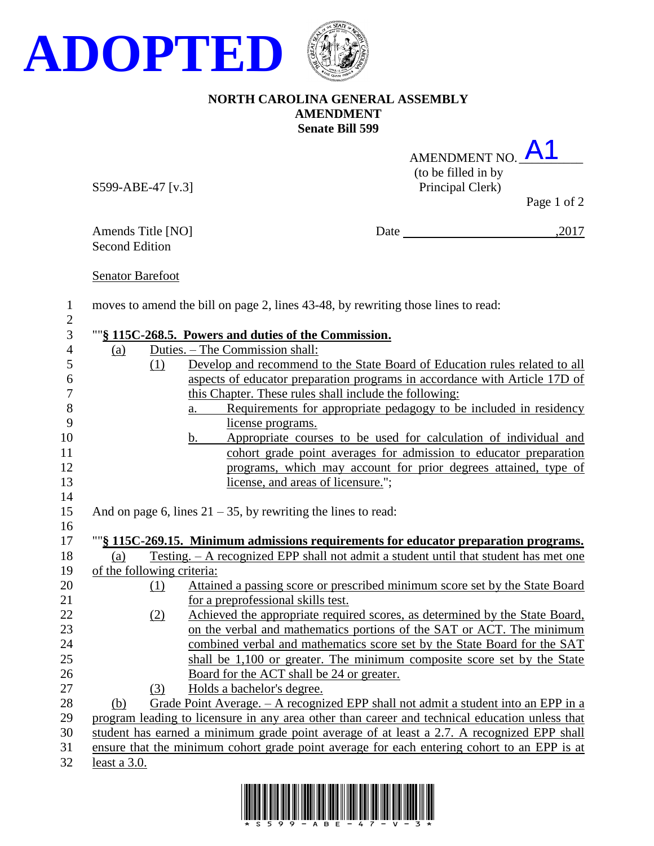

## **NORTH CAROLINA GENERAL ASSEMBLY AMENDMENT Senate Bill 599**

| AMENDMENT NO.       |  |
|---------------------|--|
| (to be filled in by |  |
| Principal Clerk)    |  |

S599-ABE-47 [v.3]

Page 1 of 2

Amends Title [NO] Date ,2017 Second Edition

Senator Barefoot

1 moves to amend the bill on page 2, lines 43-48, by rewriting those lines to read: 2

## 3 ""**§ 115C-268.5. Powers and duties of the Commission.**

| 4                | (a)                        |     | Duties. – The Commission shall:                                                                |
|------------------|----------------------------|-----|------------------------------------------------------------------------------------------------|
| 5                |                            | (1) | Develop and recommend to the State Board of Education rules related to all                     |
| 6                |                            |     | aspects of educator preparation programs in accordance with Article 17D of                     |
| $\boldsymbol{7}$ |                            |     | this Chapter. These rules shall include the following:                                         |
| $8\,$            |                            |     | Requirements for appropriate pedagogy to be included in residency<br>a.                        |
| 9                |                            |     | license programs.                                                                              |
| 10               |                            |     | Appropriate courses to be used for calculation of individual and<br>$\mathbf{b}$ .             |
| 11               |                            |     | cohort grade point averages for admission to educator preparation                              |
| 12               |                            |     | programs, which may account for prior degrees attained, type of                                |
| 13               |                            |     | license, and areas of licensure.";                                                             |
| 14               |                            |     |                                                                                                |
| 15               |                            |     | And on page 6, lines $21 - 35$ , by rewriting the lines to read:                               |
| 16               |                            |     |                                                                                                |
| 17               |                            |     | ""§ 115C-269.15. Minimum admissions requirements for educator preparation programs.            |
| 18               | (a)                        |     | Testing. - A recognized EPP shall not admit a student until that student has met one           |
| 19               | of the following criteria: |     |                                                                                                |
| 20               |                            | (1) | Attained a passing score or prescribed minimum score set by the State Board                    |
| 21               |                            |     | for a preprofessional skills test.                                                             |
| 22               |                            | (2) | Achieved the appropriate required scores, as determined by the State Board,                    |
| 23               |                            |     | on the verbal and mathematics portions of the SAT or ACT. The minimum                          |
| 24               |                            |     | combined verbal and mathematics score set by the State Board for the SAT                       |
| 25               |                            |     | shall be 1,100 or greater. The minimum composite score set by the State                        |
| 26               |                            |     | Board for the ACT shall be 24 or greater.                                                      |
| 27               |                            | (3) | Holds a bachelor's degree.                                                                     |
| 28               | (b)                        |     | Grade Point Average. $-$ A recognized EPP shall not admit a student into an EPP in a           |
| 29               |                            |     | program leading to licensure in any area other than career and technical education unless that |
| 30               |                            |     | student has earned a minimum grade point average of at least a 2.7. A recognized EPP shall     |
| 31               |                            |     | ensure that the minimum cohort grade point average for each entering cohort to an EPP is at    |
| 32               | least a 3.0.               |     |                                                                                                |
|                  |                            |     |                                                                                                |